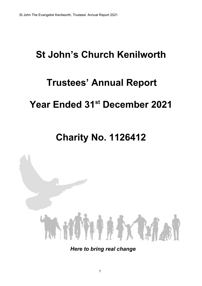# **St John's Church Kenilworth**

# **Trustees' Annual Report**

# **Year Ended 31st December 2021**

# **Charity No. 1126412**



*Here to bring real change*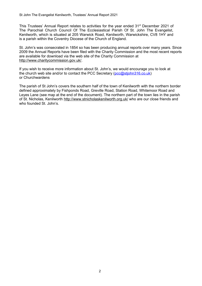This Trustees' Annual Report relates to activities for the year ended 31<sup>st</sup> December 2021 of The Parochial Church Council Of The Ecclesiastical Parish Of St. John The Evangelist, Kenilworth, which is situated at 205 Warwick Road, Kenilworth, Warwickshire, CV8 1HY and is a parish within the Coventry Diocese of the Church of England.

St. John's was consecrated in 1854 so has been producing annual reports over many years. Since 2009 the Annual Reports have been filed with the Charity Commission and the most recent reports are available for download via the web site of the Charity Commission at http://www.charitycommission.gov.uk/.

If you wish to receive more information about St. John's, we would encourage you to look at the church web site and/or to contact the PCC Secretary (pcc@stjohn316.co.uk) or Churchwardens

The parish of St John's covers the southern half of the town of Kenilworth with the northern border defined approximately by Fishponds Road, Greville Road, Station Road, Whitemoor Road and Leyes Lane (see map at the end of the document). The northern part of the town lies in the parish of St. Nicholas, Kenilworth http://www.stnicholaskenilworth.org.uk/ who are our close friends and who founded St. John's.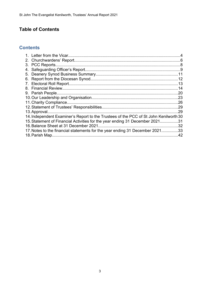# **Table of Contents**

## **Contents**

| 3. PCC Reports.                                                                       |     |
|---------------------------------------------------------------------------------------|-----|
|                                                                                       |     |
|                                                                                       |     |
|                                                                                       |     |
|                                                                                       |     |
|                                                                                       | 14  |
| 9. Parish People                                                                      |     |
|                                                                                       |     |
| 11. Charity Compliance.                                                               |     |
|                                                                                       |     |
|                                                                                       | .29 |
| 14. Independent Examiner's Report to the Trustees of the PCC of St John Kenilworth 30 |     |
| 15. Statement of Financial Activities for the year ending 31 December 202131          |     |
| 16. Balance Sheet at 31 December 2021                                                 | .32 |
| 17. Notes to the financial statements for the year ending 31 December 202133          |     |
|                                                                                       | .42 |
|                                                                                       |     |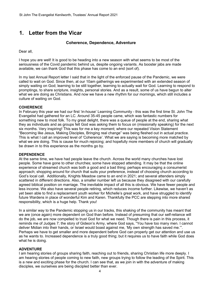## **1. Letter from the Vicar**

#### **Coherence, Dependence, Adventure**

Dear all,

I hope you are well! It is good to be heading into a new season with what seems to be most of the seriousness of the Covid pandemic behind us, despite ongoing variants. As booster jabs are made available, we can thank God that this phase has come to an end (sort of).

In my last Annual Report letter I said that in the light of the enforced pause of the Pandemic, we were called to wait on God. Since then, at our 10am gatherings we experimented with an extended season of simply waiting on God; learning to be still together, learning to actually wait for God. Learning to respond to promptings, to share scripture, insights, personal stories. And as a result, some of us have begun to alter what we are doing as Christians. And now we have a new rhythm for our mornings, which still includes a culture of waiting on God.

#### **COHERENCE**

In February this year we had our first 'in-house' Learning Community - this was the first time St. John The Evangelist had gathered for an LC. Around 35-45 people came, which was fantastic numbers for something new to most folk. To my great delight, there was a queue of people at the end, sharing what they as individuals and as groups felt God was asking them to focus on (missionally speaking) for the next six months. Very inspiring! This was for me a key moment; where our repeated Vision Statement "Becoming like Jesus, Making Disciples, Bringing real change" was being fleshed out in actual practice. This is what I call an improved level of 'Coherence'. What we are saying is becoming more matched by what we are doing. This is cause for much rejoicing; and hopefully more members of church will gradually be drawn in to this experience as the months go by.

#### **DEPENDENCE**

At the same time, we have had people leave the church. Across the world many churches have lost people. Some have gone to other churches; some have stopped attending. It may be that the online experience of streamed church was both a good and a bad thing; perhaps encouraging a consumerist approach; shopping around for church that suits your preference, instead of choosing church according to God's local call. Additionally, Knights Meadow came to an end in 2021; and several attenders simply scattered in different directions. Also, a smaller number left us because they disagreed with our carefully agreed biblical position on marriage. The inevitable impact of all this is obvious. We have fewer people and less income. We also have several people retiring, which reduces income further. Likewise, we haven't as yet been able to find a replacement youth worker for Michelle's great work, and have struggled to identify future Wardens in place of wonderful Kim and Karen. Thankfully the PCC are stepping into more shared responsibility, which is a huge help. Thank you!

In a similar way to the Pandemic stopping us in our tracks, this shaking of the community has meant that we are (once again) more dependent on God than before. Instead of presuming that our self-reliance will do the job, we are now compelled to trust God for what we need. Though there is pain in this process, it reminds me of Judges 7; the story of Gideon's Army, where God says, "You have too many men. I cannot deliver Midian into their hands, or Israel would boast against me, 'My own strength has saved me.'". Perhaps we have to get smaller and more dependent before God can properly get our attention and use us as he wants to. Increased dependence is a truly good thing; but it requires us to have faith while God does what he is doing.

#### **ADVENTURE**

I am hearing stories of groups sharing faith, reaching out to friends, sharing Christian life more deeply. I am hearing stories of people coming to new faith, new groups trying to follow the leading of the Spirit. This is a new and exciting phase for the church. I can see that, as we join in with the adventure of making disciples, we ourselves are being discipled better than ever.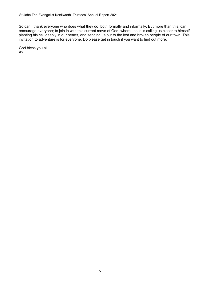So can I thank everyone who does what they do, both formally and informally. But more than this; can I encourage everyone; to join in with this current move of God; where Jesus is calling us closer to himself, planting his call deeply in our hearts, and sending us out to the lost and broken people of our town. This invitation to adventure is for everyone. Do please get in touch if you want to find out more.

God bless you all Ax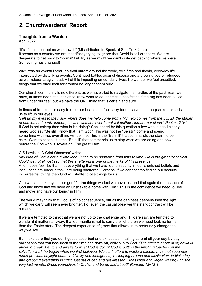## **2. Churchwardens' Report**

#### **Thoughts from a Warden**

April 2022

"It's life Jim, but not as we know it!" (Misattributed to Spock of Star Trek fame). It seems as a country we are steadfastly trying to ignore that Covid is still out there. We are desperate to get back to 'normal' but, try as we might we can't quite get back to where we were. Something has changed!

2021 was an eventful year, political unrest around the world, wild fires and floods, everyday life interrupted by disturbing events. Continued battles against disease and a growing tide of refugees as war raises its ugly head. All of this impacting on our daily lives. No wonder we feel unsettled, things that we once took for granted no longer seem sure.

Our church community is no different, as we have tried to navigate the hurdles of the past year, we have, at times been at a loss as to know what to do, at times it has felt as if the rug has been pulled from under our feet, but we have the ONE thing that is certain and sure.

In times of trouble, it is easy to drop our heads and feel sorry for ourselves but the psalmist exhorts us to lift up our eyes...

*"I lift up my eyes to the hills-- where does my help come from? My help comes from the LORD, the Maker of heaven and earth. indeed, he who watches over Israel will neither slumber nor sleep." Psalm.121v1* If God is not asleep then what is He doing? Challenged by this question a few weeks ago I clearly heard God say "Be still. Know that I am God" This was not the "Be still" come and spend some time with me, everything will be fine. This is the "Be still" that commands the storm to be calm. Wars to cease. It is the "Be still" that commands us to stop what we are doing and bow before the God who is sovereign. The great I Am.

#### C.S.Lewis in 'A Grief Observes' writes: -

*"My idea of God is not a divine idea. It has to be shattered from time to time. He is the great iconoclast. Could we not almost say that this shattering is one of the marks of His presence"* And it does feel like that, that everything that we have found security in, our cherished beliefs and institutions are under attack, are being shattered. Perhaps, if we cannot stop finding our security in Terrestrial things then God will shatter those things for us.

Can we can look beyond our grief for the things we feel we have lost and find again the presence of God and know that we have an unshakable home with Him? This is the confidence we need to 'live and move and have our being' in Him.

The world may think that God is of no consequence, but as the darkness deepens then the light which we carry will seem ever brighter. For even the casual observer the stark contrast will be remarkable.

If we are tempted to think that we are not up to the challenge and, if I dare say, are tempted to wonder if it matters anyway, that our mantle is not to carry the light, then we need look no further than the Easter story. The deepest experience of grace that allows us to profoundly change the way we live.

But make sure that you don't get so absorbed and exhausted in taking care of all your day-by-day obligations that you lose track of the time and doze off, oblivious to God. *"The night is about over, dawn is about to break. Be up and awake to what God is doing! God is putting the finishing touches on the salvation work he began when we first believed. We can't afford to waste a minute, must not squander these precious daylight hours in frivolity and indulgence, in sleeping around and dissipation, in bickering and grabbing everything in sight. Get out of bed and get dressed! Don't loiter and linger, waiting until the very last minute. Dress yourselves in Christ, and be up and about!" Romans 13v12-14*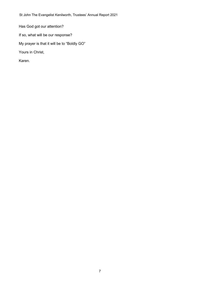Has God got our attention?

If so, what will be our response?

My prayer is that it will be to "Boldly GO"

Yours in Christ,

Karen.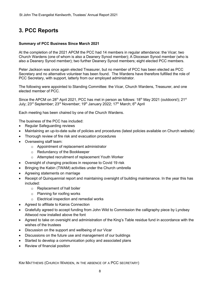# **3. PCC Reports**

#### **Summary of PCC Business Since March 2021**

At the completion of the 2021 APCM the PCC had 14 members in regular attendance: the Vicar; two Church Wardens (one of whom is also a Deanery Synod member); A Diocesan Synod member (who is also a Deanery Synod member); two further Deanery Synod members; eight elected PCC members.

Peter Jackson was once again elected Treasurer, but no member of PCC has been elected as PCC Secretary and no alternative volunteer has been found. The Wardens have therefore fulfilled the role of PCC Secretary, with support, latterly from our employed administrator.

The following were appointed to Standing Committee: the Vicar, Church Wardens, Treasurer, and one elected member of PCC.

Since the APCM on 28<sup>th</sup> April 2021, PCC has met in person as follows: 18<sup>th</sup> May 2021 (outdoors!); 21<sup>st</sup> July: 23<sup>rd</sup> September: 23<sup>rd</sup> November: 19<sup>th</sup> January 2022: 17<sup>th</sup> March: 6<sup>th</sup> April

Each meeting has been chaired by one of the Church Wardens.

The business of the PCC has included:

- Regular Safeguarding reviews
- Maintaining an up-to-date suite of policies and procedures (latest policies available on Church website)
- Thorough review of fire risk and evacuation procedures
- Overseeing staff team:
	- o Appointment of replacement administrator
	- o Redundancy of the Bookkeeper
	- o Attempted recruitment of replacement Youth Worker
- Oversight of changing practices in response to Covid 19 risk
- Bringing the Kabin (TWAM) activities under the Church umbrella
- Agreeing statements on marriage
- Receipt of Quinquennial report and maintaining oversight of building maintenance. In the year this has included:
	- o Replacement of hall boiler
	- o Planning for roofing works
	- o Electrical inspection and remedial works
- Agreed to affiliate to Kairos Connection
- Gratefully agreed to accept funding from John Wild to Commission the calligraphy piece by Lyndsey Attwood now installed above the font
- Agreed to take on oversight and administration of the King's Table residue fund in accordance with the wishes of the trustees
- Discussion on the support and wellbeing of our Vicar
- Discussions on the future use and management of our buildings
- Started to develop a communication policy and associated plans
- Review of financial position

KIM MATTHEWS (CHURCH WARDEN, IN THE ABSENCE OF A PCC SECRETARY)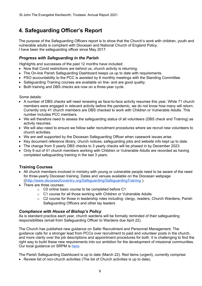# **4. Safeguarding Officer's Report**

The purpose of the Safeguarding Officers report is to show that the Church's work with children, youth and vulnerable adults is compliant with Diocesan and National Church of England Policy. I have been the safeguarding officer since May 2017.

#### *Progress with Safeguarding in the Parish*

Highlights and successes of the past 12 months have included:

- Now that Covid restrictions are behind us, church activity is returning.
- The On-line Parish Safeguarding Dashboard keeps us up to date with requirements.
- PSO accountability to the PCC is assisted by 6 monthly meetings with the Standing Committee.
- Safeguarding Training courses are available on line- and are good quality.
- Both training and DBS checks are now on a three-year cycle.

Some details:

- A number of DBS checks will need renewing as face-to-face activity resumes this year. While 71 church members were engaged in relevant activity before the pandemic, we do not know how many will return. Currently only 41 church members are DBS checked to work with Children or Vulnerable Adults. This number includes PCC members.
- We will therefore need to assess the safeguarding status of all volunteers (DBS check and Training) as activity resumes.
- We will also need to ensure we follow safer recruitment procedures where we recruit new volunteers to church activities.
- We are well supported by the Diocesan Safeguarding Officer when casework issues arise.
- Key document reference library, church notices, safeguarding jobs and website info kept up to date.
- The change from 5 yearly DBS checks to 3 yearly checks will be phased in by December 2023.
- Only 9 out of 41 church members working with Children or Vulnerable Adults are recorded as having completed safeguarding training in the last 3 years.

#### **Training Courses**

- All church members involved in ministry with young or vulnerable people need to be aware of the need for three-yearly Diocesan training. Dates and venues available on the Diocesan webpage ([\(http://www.dioceseofcoventry.org/Safeguarding/SafeguardingTraining](http://www.dioceseofcoventry.org/Safeguarding/SafeguardingTraining) ).
- There are three courses:
	- o C0 online basic course to be completed before C1
	- o C1 course for all those working with Children or Vulnerable Adults
	- o C2 course for those in leadership roles including: clergy, readers, Church Wardens, Parish Safeguarding Officers and other lay leaders

#### *Compliance with House of Bishop's Policy*

As is standard practice each year, church wardens will be formally reminded of their safeguarding responsibilities (email from Safeguarding Officer to Wardens due April 22).

The Church has published new guidance on Safer Recruitment and Personnel Management. The guidance calls for a stronger lead from PCCs over recruitment to paid and volunteer posts in the church, and more clarity over the job descriptions and appointment procedures for both. It is challenging to find the right way to build these new requirements into our ambition for the development of missional communities. Our local guidance on SRPM is [here](https://docs.google.com/document/d/1expFVASr3GEHDNkJqJPWBBnhjP9JxY8_EFD20wRSpps/edit?usp=sharing).

The Parish Safeguarding Dashboard is up to date (March 22). Red items (urgent), currently comprise:

• Review list of non-church activities (The list of Church activities is up to date).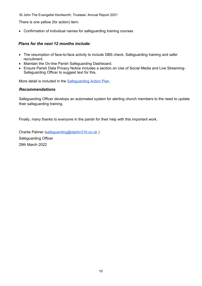There is one yellow (for action) item:

Confirmation of individual names for safeguarding training courses

#### *Plans for the next 12 months include:*

- The resumption of face-to-face activity to include DBS check, Safeguarding training and safer recruitment.
- Maintain the On-line Parish Safeguarding Dashboard.
- Ensure Parish Data Privacy Notice includes a section on Use of Social Media and Live Streaming-Safeguarding Officer to suggest text for this.

More detail is included in the [Safeguarding Action Plan](https://docs.google.com/document/d/1hQFika6BBOKZ9Xy93AYljARO3pGt9gZkzYPkjo7G1E4/edit?usp=sharing).

#### *Recommendations*

Safeguarding Officer develops an automated system for alerting church members to the need to update their safeguarding training.

Finally, many thanks to everyone in the parish for their help with this important work.

Charlie Palmer [\(safeguarding@stjohn316.co.uk](mailto:safeguarding@stjohn316.co.uk) ) Safeguarding Officer 29th March 2022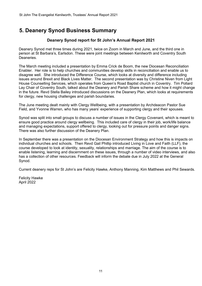# **5. Deanery Synod Business Summary**

#### **Deanery Synod report for St John's Annual Report 2021**

Deanery Synod met three times during 2021, twice on Zoom in March and June, and the third one in person at St Barbara's, Earlsdon. These were joint meetings between Kenilworth and Coventry South Deaneries.

The March meeting included a presentation by Emma Crick de Boom, the new Diocesan Reconciliation Enabler. Her role is to help churches and communities develop skills in reconciliation and enable us to disagree well. She introduced the Difference Course, which looks at diversity and difference including issues around Brexit and Black Lives Matter. The second presentation was by Christine Niven from Light House Counselling Services, which operates from Queen's Road Baptist church in Coventry. Tim Pollard Lay Chair of Coventry South, talked about the Deanery and Parish Share scheme and how it might change in the future. Revd Stella Bailey introduced discussions on the Deanery Plan, which looks at requirements for clergy, new housing challenges and parish boundaries.

The June meeting dealt mainly with Clergy Wellbeing, with a presentation by Archdeacon Pastor Sue Field, and Yvonne Warren, who has many years' experience of supporting clergy and their spouses.

Synod was split into small groups to discuss a number of issues in the Clergy Covenant, which is meant to ensure good practice around clergy wellbeing. This included care of clergy in their job, work/life balance and managing expectations, support offered to clergy, looking out for pressure points and danger signs. There was also further discussion of the Deanery Plan.

In September there was a presentation on the Diocesan Environment Strategy and how this is impacts on individual churches and schools. Then Revd Gail Phillip introduced Living in Love and Faith (LLF), the course developed to look at identity, sexuality, relationships and marriage. The aim of the course is to enable listening, learning and discernment on these issues, through a number of video interviews, and also has a collection of other resources. Feedback will inform the debate due in July 2022 at the General Synod.

Current deanery reps for St John's are Felicity Hawke, Anthony Manning, Kim Matthews and Phil Sewards.

Felicity Hawke April 2022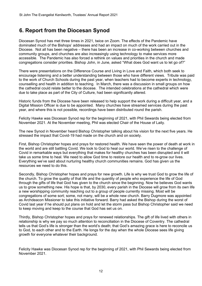## **6. Report from the Diocesan Synod**

Diocesan Synod has met three times in 2021, twice on Zoom. The effects of the Pandemic have dominated much of the Bishops' addresses and had an impact on much of the work carried out in the Diocese. Not all has been negative – there has been an increase in co-working between churches and community groups, and churches are also increasingly using technology to make services more accessible. The Pandemic has also forced a rethink on values and priorities in the church and made congregations consider priorities. Bishop John, in June, asked "What does God want us to let go of?"

There were presentations on the Difference Course and Living in Love and Faith, which both seek to encourage listening and a better understanding between those who have different views. Tribute was paid to the work of Church Schools during the past year, when teachers had to become experts in technology, counselling and health in addition to teaching. In March, there was a discussion in small groups on how the cathedral could relate better to the diocese. The intended celebrations at the cathedral which were due to take place as part of the City of Culture, had been significantly altered.

Historic funds from the Diocese have been released to help support the work during a difficult year, and a Digital Mission Officer is due to be appointed. Many churches have streamed services during the past year, and where this is not possible, recordings have been distributed round the parish.

Felicity Hawke was Diocesan Synod rep for the beginning of 2021, with Phil Sewards being elected from November 2021. At the November meeting, Phil was elected Chair of the House of Laity.

The new Synod in November heard Bishop Christopher talking about his vision for the next five years. He stressed the impact that Covid-19 had made on the church and on society.

First, Bishop Christopher hopes and prays for restored health. We have seen the power of death at work in the world and are still battling Covid. We look to God to heal our world. We've risen to the challenge of Covid in remarkable ways but everything that makes for healthy churches has been disrupted and it will take us some time to heal. We need to allow God time to restore our health and to re-grow our lives. Everything we've said about nurturing healthy church communities remains. God has given us the resources we need to do this.

Secondly, Bishop Christopher hopes and prays for new growth. Life is why we trust God to grow the life of the church. To grow the quality of that life and the quantity of people who experience the life of God through the gifts of life that God has given to the church since the beginning. Now he believes God wants us to grow something new. His hope is that, by 2030, every parish in the Diocese will grow from its own life a new worshipping community reaching out to a group of people currently missing. Most will be congregations of some sort; some, not many, will be a whole new church. Barry Dugmore was appointed as Archdeacon Missioner to take this initiative forward. Barry had asked the Bishop during the worst of Covid last year if he should put plans on hold and let the storm pass but Bishop Christopher said we need to keep moving and keep to the course that God has set us on.

Thirdly, Bishop Christopher hopes and prays for renewed relationships. The gift of life lived with others in relationship is why we pay so much attention to reconciliation in the Diocese of Coventry. The cathedral tells us that God's life is stronger than the world's death; that God's amazing grace is here to reconcile us to God, to each other and to the Earth. He longs for the day when the whole Diocese sees life giving growth for everyone whatever their background.

Felicity Hawke was Diocesan Synod rep for the beginning of 2021, with Phil Sewards being elected from November 2021.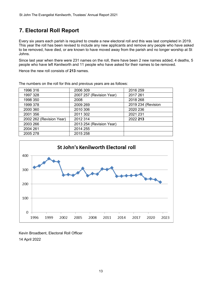# **7. Electoral Roll Report**

Every six years each parish is required to create a new electoral roll and this was last completed in 2019. This year the roll has been revised to include any new applicants and remove any people who have asked to be removed, have died, or are known to have moved away from the parish and no longer worship at St Johns.

Since last year when there were 231 names on the roll, there have been 2 new names added, 4 deaths, 5 people who have left Kenilworth and 11 people who have asked for their names to be removed.

Hence the new roll consists of **213** names.

| 1996 316                 | 2006 309                 | 2016 259           |
|--------------------------|--------------------------|--------------------|
| 1997 328                 | 2007 257 (Revision Year) | 2017 261           |
| 1998 350                 | 2008                     | 2018 268           |
| 1999 378                 | 2009 269                 | 2019 234 (Revision |
| 2000 360                 | 2010 306                 | 2020 236           |
| 2001 356                 | 2011 302                 | 2021 231           |
| 2002 262 (Revision Year) | 2012 314                 | 2022 213           |
| 2003 266                 | 2013 254 (Revision Year) |                    |
| 2004 261                 | 2014 255                 |                    |
| 2005 278                 | 2015 258                 |                    |

The numbers on the roll for this and previous years are as follows:



Kevin Broadbent, Electoral Roll Officer 14 April 2022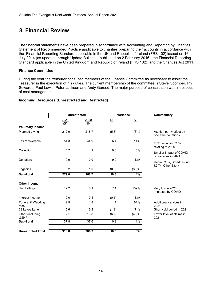## **8. Financial Review**

The financial statements have been prepared in accordance with Accounting and Reporting by Charities: Statement of Recommended Practice applicable to charities preparing their accounts in accordance with the Financial Reporting Standard applicable in the UK and Republic of Ireland (FRS 102) issued on 16 July 2014 (as updated through Update Bulletin 1 published on 2 February 2016), the Financial Reporting Standard applicable in the United Kingdom and Republic of Ireland (FRS 102), and the Charities Act 2011.

#### **Finance Committee**

During the year the treasurer consulted members of the Finance Committee as necessary to assist the Treasurer in the execution of his duties. The current membership of the committee is Steve Coomber, Phil Sewards, Paul Lewis, Peter Jackson and Andy Garsed. The major purpose of consultation was in respect of cost management,

### **Incoming Resources (Unrestricted and Restricted)**

|                           | <b>Unrestricted</b> |            |       | Variance      | <b>Commentary</b>                                |  |
|---------------------------|---------------------|------------|-------|---------------|--------------------------------------------------|--|
|                           | 2021<br>£K          | 2020<br>£K | £k    | $\frac{0}{2}$ |                                                  |  |
| <b>Voluntary Income</b>   |                     |            |       |               |                                                  |  |
| Planned giving            | 212.9               | 218.7      | (5.8) | (3)%          | Attrition partly offset by<br>one time donations |  |
| Tax recoverable           | 51.3                | 44.9       | 6.4   | 14%           | 2021 includes £2.5k<br>relating to 2020          |  |
| Collection                | 4.7                 | 4.1        | 0.6   | 15%           |                                                  |  |
|                           |                     |            |       |               | Smaller impact of COVID<br>on services in 2021   |  |
| Donations                 | 9.9                 | 0.0        | 9.9   | N/A           | Kabin £3.8k, Broadcasting<br>£2.7k, Other £3.4k  |  |
| Legacies                  | 0.2                 | 1.0        | (0.8) | (80)%         |                                                  |  |
| Sub-Total                 | 279.0               | 268.7      | 10.3  | 4%            |                                                  |  |
| <b>Other Income</b>       |                     |            |       |               |                                                  |  |
| <b>Hall Lettings</b>      | 12.2                | 5.1        | 7.1   | 139%          | Very low in 2020<br>impacted by COVID            |  |
| Interest income           | 0.0                 | 0.1        | (0.1) | N/A           |                                                  |  |
| Funeral & Wedding<br>fees | 2.9                 | 1.8        | 1.1   | 61%           | Additional services in<br>2021                   |  |
| 23 Leyes Lane             | 15.6                | 16.8       | (1.2) | (7)%          | Short void period in 2021                        |  |
| Other (including<br>GSHP) | 7.1                 | 13.8       | (6.7) | (49)%         | Lower level of claims in<br>2021                 |  |
| Sub-Total                 | 37.8                | 37.6       | 0.2   | 1%            |                                                  |  |
| <b>Unrestricted Total</b> | 316.8               | 306.3      | 10.5  | 3%            |                                                  |  |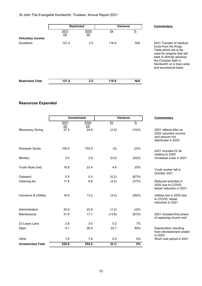|                         | <b>Restricted</b> |            | <b>Variance</b> |               | Commentary                                                                                                                                                                                                           |
|-------------------------|-------------------|------------|-----------------|---------------|----------------------------------------------------------------------------------------------------------------------------------------------------------------------------------------------------------------------|
| <b>Voluntary income</b> | 2021<br>£K        | 2020<br>£K | £k              | $\frac{9}{6}$ |                                                                                                                                                                                                                      |
| Donations               | 121.4             | 2.5        | 118.9           | N/A           | 2021 Transfer of residual<br>funds from the Kings<br>Table which are to be<br>used for projects that will<br>seek to directly advance<br>the Christian faith in<br>Kenilworth on a town-wide<br>and ecumenical basis |
| <b>Restricted Total</b> | 121.4             | 2.5        | 118.9           | N/A           |                                                                                                                                                                                                                      |

## **Resources Expended**

|                           |            | <b>Unrestricted</b> |        | Variance<br>Commentary |                                                                                          |
|---------------------------|------------|---------------------|--------|------------------------|------------------------------------------------------------------------------------------|
|                           | 2021<br>£K | 2020<br>£K          | £k     | $\frac{0}{2}$          |                                                                                          |
| <b>Missionary Giving</b>  | 27.4       | 24.9                | (2.5)  | (10)%                  | 2021 reflects tithe on<br>2020 voluntary income<br>and amount not<br>distributed in 2020 |
| Diocesan Quota            | 105.0      | 103.0               | (2)    | (2)%                   | 2021 includes £2.5k<br>relating to 2020                                                  |
| Ministry                  | 3.0        | 2.5                 | (0.5)  | (20)%                  | Increased costs in 2021                                                                  |
| Youth Work (net)          | 18.8       | 23.4                | 4.6    | 20%                    | Youth worker left in<br>October 2021                                                     |
| Outreach                  | 0.5        | 0.3                 | (0.2)  | (67)%                  |                                                                                          |
| Cleaning etc              | 11.8       | 8.6                 | (3.2)  | (37)%                  | Reduced activities in<br>2020 due to COVID,<br>lesser reduction in 2021                  |
| Insurance & Utilities     | 16.6       | 13.2                | (3.4)  | (26)%                  | Utilities low in 2020 due<br>to COVID, lesser<br>reduction in 2021                       |
| Administration            | 24.9       | 23.9                | (1.0)  | (4)%                   |                                                                                          |
| Maintenance               | 31.9       | 17.1                | (14.8) | (87)%                  | 2021 included first phase<br>of replacing church roof                                    |
| 23 Leyes Lane             | 2.8        | 3.0                 | 0.2    | 7%                     |                                                                                          |
| Depn                      | 4.1        | 26.8                | 22.7   | 85%                    | Depreciation resulting<br>from refurbishment ended<br>in 2020                            |
| Other                     | 7.8        | 7.8                 | 0.0    | 0%                     | Short void period in 2021                                                                |
| <b>Unrestricted Total</b> | 254.6      | 254.5               | (0.1)  | $0\%$                  |                                                                                          |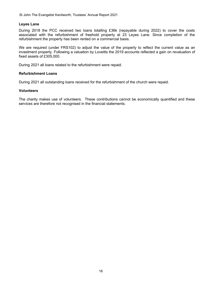#### **Leyes Lane**

During 2018 the PCC received two loans totalling £36k (repayable during 2022) to cover the costs associated with the refurbishment of freehold property at 23 Leyes Lane. Since completion of the refurbishment the property has been rented on a commercial basis.

We are required (under FRS102) to adjust the value of the property to reflect the current value as an investment property. Following a valuation by Loveitts the 2019 accounts reflected a gain on revaluation of fixed assets of £305,000.

During 2021 all loans related to the refurbishment were repaid.

#### **Refurbishment Loans**

During 2021 all outstanding loans received for the refurbishment of the church were repaid.

#### **Volunteers**

The charity makes use of volunteers. These contributions cannot be economically quantified and these services are therefore not recognised in the financial statements.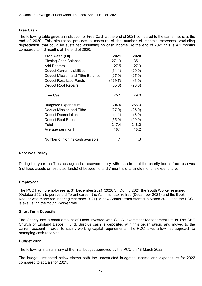#### **Free Cash**

The following table gives an indication of Free Cash at the end of 2021 compared to the same metric at the end of 2020. This simulation provides a measure of the number of month's expenses, excluding depreciation, that could be sustained assuming no cash income. At the end of 2021 this is 4.1 months compared to 4.3 months at the end of 2020.

| Free Cash (£k)                    | 2021    | 2020   |
|-----------------------------------|---------|--------|
| <b>Closing Cash Balance</b>       | 271.3   | 135.1  |
| <b>Add Debtors</b>                | 27.5    | 27.9   |
| <b>Deduct Current Liabilities</b> | (11.1)  | (29.0) |
| Deduct Mission and Tithe Balance  | (27.9)  | (27.0) |
| Deduct Restricted Funds           | (129.7) | (8.0)  |
| <b>Deduct Roof Repairs</b>        | (55.0)  | (20.0) |
|                                   |         |        |
| Free Cash                         | 75.1    | 79.0   |
|                                   |         |        |
| <b>Budgeted Expenditure</b>       | 304.4   | 266.0  |
| Deduct Mission and Tithe          | (27.9)  | (25.0) |
| <b>Deduct Depreciation</b>        | (4.1)   | (3.0)  |
| <b>Deduct Roof Repairs</b>        | (55.0)  | (20.0) |
| Total                             | 217.4   | 218.0  |
| Average per month                 | 18.1    | 18.2   |
|                                   |         |        |
| Number of months cash available   | 4.1     | 4.3    |

#### **Reserves Policy**

During the year the Trustees agreed a reserves policy with the aim that the charity keeps free reserves (not fixed assets or restricted funds) of between 6 and 7 months of a single month's expenditure.

#### **Employees**

The PCC had no employees at 31 December 2021 (2020 3). During 2021 the Youth Worker resigned (October 2021) to persue a different career, the Administrator retired (December 2021) and the Book Keeper was made redundant (December 2021). A new Administrator started in March 2022, and the PCC is evaluating the Youth Worker role.

#### **Short Term Deposits**

The Charity has a small amount of funds invested with CCLA Investment Management Ltd in The CBF Church of England Deposit Fund. Surplus cash is deposited with this organisation, and moved to the current account in order to satisfy working capital requirements. The PCC takes a low risk approach to managing cash reserves.

#### **Budget 2022**

The following is a summary of the final budget approved by the PCC on 18 March 2022.

The budget presented below shows both the unrestricted budgeted income and expenditure for 2022 compared to actuals for 2021.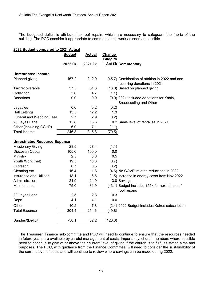The budgeted deficit is attributed to roof repairs which are necessary to safeguard the fabric of the building. The PCC consider it appropriate to commence this work as soon as possible.

| 2022 Budget compared to 2021 Actual  |               |               |                                                                                |  |  |  |
|--------------------------------------|---------------|---------------|--------------------------------------------------------------------------------|--|--|--|
|                                      | <b>Budget</b> | <b>Actual</b> | <b>Change</b>                                                                  |  |  |  |
|                                      |               |               | <b>Budg to</b>                                                                 |  |  |  |
|                                      | 2022 £k       | 2021 £k       | <b>Act £k Commentary</b>                                                       |  |  |  |
| <b>Unrestricted Income</b>           |               |               |                                                                                |  |  |  |
| Planned giving                       | 167.2         | 212.9         | (45.7) Combination of attrition in 2022 and non<br>recurring donations in 2021 |  |  |  |
| Tax recoverable                      | 37.5          | 51.3          | (13.8) Based on planned giving                                                 |  |  |  |
| Collection                           | 3.6           | 4.7           | (1.1)                                                                          |  |  |  |
| <b>Donations</b>                     | 0.0           | 9.9           | (9.9) 2021 included donations for Kabin,<br><b>Broadcasting and Other</b>      |  |  |  |
| Legacies                             | 0.0           | 0.2           | (0.2)                                                                          |  |  |  |
| <b>Hall Lettings</b>                 | 13.5          | 12.2          | 1.3                                                                            |  |  |  |
| <b>Funeral and Wedding Fees</b>      | 2.7           | 2.9           | (0.2)                                                                          |  |  |  |
| 23 Leyes Lane                        | 15.8          | 15.6          | 0.2 Same level of rental as in 2021                                            |  |  |  |
| Other (including GSHP)               | 6.0           | 7.1           | (1.1)                                                                          |  |  |  |
| <b>Total Income</b>                  | 246.3         | 316.8         | (70.5)                                                                         |  |  |  |
| <b>Unrestricted Resource Expense</b> |               |               |                                                                                |  |  |  |
| <b>Missionary Giving</b>             | 28.5          | 27.4          | (1.1)                                                                          |  |  |  |
| Diocesan Quota                       | 105.0         | 105.0         | 0.0                                                                            |  |  |  |
| Ministry                             | 2.5           | 3.0           | 0.5                                                                            |  |  |  |
| Youth Work (net)                     | 19.5          | 18.8          | (0.7)                                                                          |  |  |  |
| Outreach                             | 0.7           | 0.5           | (0.2)                                                                          |  |  |  |
| Cleaning etc                         | 16.4          | 11.8          | (4.6) No COVID related reductions in 2022                                      |  |  |  |
| <b>Insurance and Utilities</b>       | 18.1          | 16.6          | (1.5) Increase in energy costs from Nov 2022                                   |  |  |  |
| Administration                       | 21.9          | 24.9          | 3.0 Savings                                                                    |  |  |  |
| Maintenance                          | 75.0          | 31.9          | (43.1) Budget includes £55k for next phase of<br>roof repairs                  |  |  |  |
| 23 Leyes Lane                        | 2.5           | 2.8           | 0.3                                                                            |  |  |  |
| Depn                                 | 4.1           | 4.1           | 0.0                                                                            |  |  |  |
| Other                                | 10.2          | 7.8           | (2.4) 2022 Budget includes Kairos subscription                                 |  |  |  |
| <b>Total Expense</b>                 | 304.4         | 254.6         | (49.8)                                                                         |  |  |  |
| Surplus/(Deficit)                    | $-58.1$       | 62.2          | (120.3)                                                                        |  |  |  |

The Treasurer, Finance sub-committe and PCC will need to continue to ensure that the resources needed in future years are available by careful management of costs. Importantly, church members where possible need to continue to give at or above their current level of giving if the church is to fulfil its stated aims and purposes. The PCC, with guidance from the Finance Committee, will need to consider the sustainability of the current level of costs and will continue to review where savings can be made during 2022.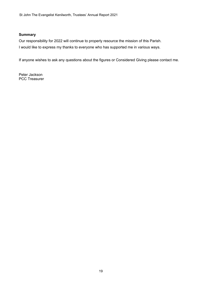#### **Summary**

Our responsibility for 2022 will continue to properly resource the mission of this Parish. I would like to express my thanks to everyone who has supported me in various ways.

If anyone wishes to ask any questions about the figures or Considered Giving please contact me.

Peter Jackson PCC Treasurer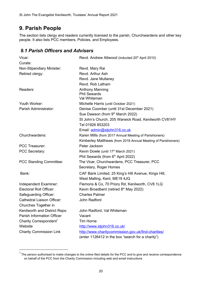## **9. Parish People**

The section lists clergy and readers currently licensed to the parish, Churchwardens and other key people. It also lists PCC members, Policies, and Employees.

### *9.1 Parish Officers and Advisers*

| Vicar:                             | Revd. Andrew Attwood (inducted 20 <sup>th</sup> April 2010)   |
|------------------------------------|---------------------------------------------------------------|
| Curate:                            |                                                               |
| Non-Stipendiary Minister:          | Revd. Mary Rai                                                |
| Retired clergy:                    | Revd. Arthur Ash                                              |
|                                    | Revd. Jane Mullaney                                           |
|                                    | Revd. Rob Latham                                              |
| Readers:                           | <b>Anthony Manning</b>                                        |
|                                    | <b>Phil Sewards</b>                                           |
|                                    | Val Whiteman                                                  |
| Youth Worker:                      | Michelle Harris (until October 2021)                          |
| Parish Administrator:              | Denise Coomber (until 31st December 2021)                     |
|                                    | Sue Dawson (from 9th March 2022)                              |
|                                    | St John's Church, 205 Warwick Road, Kenilworth CV81HY         |
|                                    | Tel 01926 853203                                              |
|                                    | Email: admin@stjohn316.co.uk                                  |
| Churchwardens:                     | Karen Mills (from 2017 Annual Meeting of Parishioners)        |
|                                    | Kimberley Matthews (from 2018 Annual Meeting of Parishioners) |
| <b>PCC Treasurer:</b>              | Peter Jackson                                                 |
| PCC Secretary:                     | Kevin Dowle (until 17th March 2021)                           |
|                                    | Phil Sewards (from 6th April 2022)                            |
| <b>PCC Standing Committee:</b>     | The Vicar, Churchwardens, PCC Treasurer, PCC                  |
|                                    | Secretary, Roger Homes                                        |
| Bank:                              | CAF Bank Limited, 25 King's Hill Avenue, Kings Hill,          |
|                                    | West Malling, Kent, ME19 4JQ                                  |
| Independent Examiner:              | Flemons & Co, 70 Priory Rd, Kenilworth, CV8 1LQ               |
| Electoral Roll Officer:            | Kevin Broadbent (retired 8 <sup>th</sup> May 2022)            |
| Safeguarding Officer:              | <b>Charles Palmer</b>                                         |
| <b>Cathedral Liaison Officer:</b>  | John Radford                                                  |
| Churches Together in               |                                                               |
| Kenilworth and District Reps:      | John Radford, Val Whiteman                                    |
| <b>Parish Information Officer</b>  | Vacant                                                        |
| Charity Correspondent <sup>1</sup> | <b>Tim Horne</b>                                              |
| Website                            | http://www.stjohn316.co.uk/                                   |
| <b>Charity Commission Link</b>     | http://www.charitycommission.gov.uk/find-charities/           |
|                                    | (enter 1126412 in the box "search for a charity")             |

 $1$  The person authorised to make changes to the online filed details for the PCC and to give and receive correspondence on behalf of the PCC from the Charity Commission including web and email instructions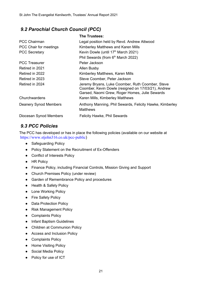## *9.2 Parochial Church Council (PCC)*

|                              | <b>The Trustees:</b>                                                                                                                                      |
|------------------------------|-----------------------------------------------------------------------------------------------------------------------------------------------------------|
| <b>PCC Chairman</b>          | Legal position held by Revd. Andrew Attwood                                                                                                               |
| PCC Chair for meetings       | Kimberley Matthews and Karen Mills                                                                                                                        |
| <b>PCC Secretary</b>         | Kevin Dowle (until 17 <sup>th</sup> March 2021)                                                                                                           |
|                              | Phil Sewards (from 6 <sup>th</sup> March 2022)                                                                                                            |
| <b>PCC Treasurer</b>         | Peter Jackson                                                                                                                                             |
| Retired in 2021              | Allen Busby                                                                                                                                               |
| Retired in 2022              | Kimberley Matthews, Karen Mills                                                                                                                           |
| Retired in 2023              | Steve Coomber, Peter Jackson                                                                                                                              |
| Retired in 2024              | Jeremy Bryans, Luke Coomber, Ruth Coomber, Steve<br>Coomber, Kevin Dowle (resigned on 17/03/21), Andrew<br>Garsed, Naomi Grew, Roger Homes, Julie Sewards |
| Churchwardens                | Karen Mills, Kimberley Matthews                                                                                                                           |
| <b>Deanery Synod Members</b> | Anthony Manning, Phil Sewards, Felicity Hawke, Kimberley<br><b>Matthews</b>                                                                               |
| Diocesan Synod Members       | <b>Felicity Hawke, Phil Sewards</b>                                                                                                                       |

## *9.3 PCC Policies*

The PCC has developed or has in place the following policies (available on our website at https://www.stjohn316.co.uk/pcc-public)

- Safeguarding Policy
- Policy Statement on the Recruitment of Ex-Offenders
- Conflict of Interests Policy
- HR Policy
- Finance Policy, including Financial Controls, Mission Giving and Support
- Church Premises Policy (under review)
- Garden of Remembrance Policy and procedures
- Health & Safety Policy
- Lone Working Policy
- Fire Safety Policy
- Data Protection Policy
- Risk Management Policy
- Complaints Policy
- Infant Baptism Guidelines
- Children at Communion Policy
- Access and Inclusion Policy
- Complaints Policy
- Home Visiting Policy
- Social Media Policy
- Policy for use of ICT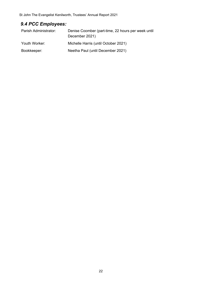## *9.4 PCC Employees:*

| Parish Administrator: | Denise Coomber (part-time, 22 hours per week until<br>December 2021) |
|-----------------------|----------------------------------------------------------------------|
| Youth Worker:         | Michelle Harris (until October 2021)                                 |
| Bookkeeper:           | Neetha Paul (until December 2021)                                    |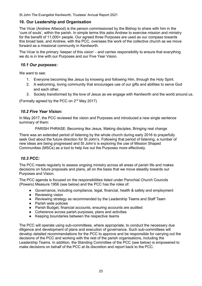#### **10. Our Leadership and Organisation**

The Vicar (Andrew Attwood) is the person commissioned by the Bishop to share with him in the 'cure of souls', within the parish. In simple terms this asks Andrew to exercise mission and ministry for the benefit of 11,000+ people. Our agreed three Purposes are used as our compass towards this broad task, and Andrew, with the PCC, oversees the work of the collective church as we move forward as a missional community in Kenilworth.

The Vicar is the primary 'keeper of this vision' - and carries responsibility to ensure that everything we do is in line with our Purposes and our Five Year Vision.

#### *10.1 Our purposes:*

We want to see:

- 1. Everyone becoming like Jesus by knowing and following Him, through the Holy Spirit.
- 2. A welcoming, loving community that encourages use of our gifts and abilities to serve God and each other.
- 3. Society transformed by the love of Jesus as we engage with Kenilworth and the world around us.

(Formally agreed by the PCC on  $2<sup>nd</sup>$  May 2017)

#### *10.2 Five Year Vision:*

In May 2017, the PCC reviewed the vision and Purposes and introduced a new single sentence summary of them:

PARISH PHRASE: Becoming like Jesus, Making disciples, Bringing real change

There was an extended period of listening by the whole church during early 2016 to prayerfully seek God about the future direction for St John's. Following that period of listening, a number of new ideas are being progressed and St John's is exploring the use of Mission Shaped Communities (MSCs) as a tool to help live out the Purposes more effectively.

#### *10.3 PCC:*

The PCC meets regularly to assess ongoing ministry across all areas of parish life and makes decisions on future proposals and plans, all on the basis that we move steadily towards our Purposes and Vision.

The PCC agenda is focused on the responsibilities listed under Parochial Church Councils (Powers) Measure 1956 (see below) and the PCC has the roles of:

- Governance, including compliance, legal, financial, health & safety and employment
- Reviewing vision
- Reviewing strategy as recommended by the Leadership Teams and Staff Team
- Parish wide policies
- Parish Budget, financial accounts, ensuring accounts are audited
- Coherence across parish purposes, plans and activities
- Keeping boundaries between the respective teams

The PCC will operate using sub-committees, where appropriate, to conduct the necessary due diligence and development of plans and execution of governance. Such sub-committees will develop detailed recommendations for the PCC to approve and be responsible for carrying out the decisions of the PCC and working with the rest of the parish organisations, including the Leadership Teams. In addition, the Standing Committee of the PCC (see below) is empowered to make decisions on behalf of the PCC at its discretion and report back to the PCC.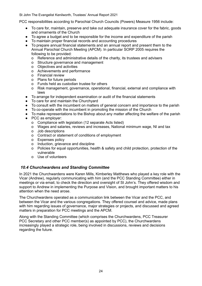PCC responsibilities according to Parochial Church Councils (Powers) Measure 1956 include:

- To care for, maintain, preserve and take out adequate insurance cover for the fabric, goods and ornaments of the Church
- To agree a budget and to be responsible for the income and expenditure of the parish
- To maintain proper financial records and accounting procedures
- To prepare annual financial statements and an annual report and present them to the Annual Parochial Church Meeting (APCM). In particular SORP 2005 requires the following to be provided:
	- o Reference and administrative details of the charity, its trustees and advisers
	- o Structure governance and management
	- o Objectives and activities
	- o Achievements and performance
	- o Financial review
	- o Plans for future periods
	- o Funds held as custodian trustee for others
	- o Risk management, governance, operational, financial, external and compliance with laws
- To arrange for independent examination or audit of the financial statements
- To care for and maintain the Churchyard
- To consult with the incumbent on matters of general concern and importance to the parish
- To co-operate with the incumbent in promoting the mission of the Church
- To make representations to the Bishop about any matter affecting the welfare of the parish
- PCC as employer:
	- o Compliance with legislation (12 separate Acts listed)
	- o Wages and salaries, reviews and increases, National minimum wage, NI and tax
	- o Job descriptions
	- o Contract or statement of conditions of employment
	- o Expenses policy
	- o Induction, grievance and discipline
	- o Policies for equal opportunities, health & safety and child protection, protection of the vulnerable
	- o Use of volunteers

#### *10.4 Churchwardens and Standing Committee*

In 2021 the Churchwardens were Karen Mills, Kimberley Matthews who played a key role with the Vicar (Andrew), regularly communicating with him (and the PCC Standing Committee) either in meetings or via email, to check the direction and oversight of St John's. They offered wisdom and support to Andrew in implementing the Purpose and Vision, and brought important matters to his attention when the need arose.

The Churchwardens operated as a communication link between the Vicar and the PCC, and between the Vicar and the various congregations. They offered counsel and advice, made plans with him regarding issues of governance, major strategies or projects, and discussed and agreed matters in preparation for PCC meetings and the APCM.

Along with the Standing Committee (which comprises the Churchwardens, PCC Treasurer PCC Secretary and other PCC member(s) as appointed by PCC), the Churchwardens increasingly played a strategic role, being involved in discussions, reviews and decisions regarding the future.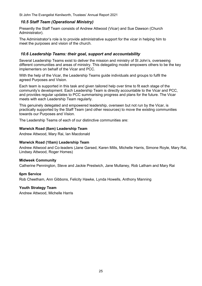#### *10.5 Staff Team (Operational Ministry)*

Presently the Staff Team consists of Andrew Attwood (Vicar) and Sue Dawson (Church Administrator).

The Administrator's role is to provide administrative support for the vicar in helping him to meet the purposes and vision of the church.

#### *10.6 Leadership Teams: their goal, support and accountability*

Several Leadership Teams exist to deliver the mission and ministry of St John's, overseeing different communities and areas of ministry. This delegating model empowers others to be the key implementers on behalf of the Vicar and PCC.

With the help of the Vicar, the Leadership Teams guide individuals and groups to fulfil the agreed Purposes and Vision.

Each team is supported in this task and given tailored help over time to fit each stage of the community's development. Each Leadership Team is directly accountable to the Vicar and PCC, and provides regular updates to PCC summarising progress and plans for the future. The Vicar meets with each Leadership Team regularly.

This genuinely delegated and empowered leadership, overseen but not run by the Vicar, is practically supported by the Staff Team (and other resources) to move the existing communities towards our Purposes and Vision.

The Leadership Teams of each of our distinctive communities are:

#### **Warwick Road (8am) Leadership Team**

Andrew Attwood, Mary Rai, Ian Macdonald

#### **Warwick Road (10am) Leadership Team**

Andrew Attwood and Co-leaders (Jane Garsed, Karen Mills, Michelle Harris, Simone Royle, Mary Rai, Lindsey Attwood, Roger Homes)

#### **Midweek Community**

Catherine Pennington, Steve and Jackie Prestwich, Jane Mullaney, Rob Latham and Mary Rai

#### **6pm Service**

Rob Cheetham, Ann Gibbons, Felicity Hawke, Lynda Howells, Anthony Manning

#### **Youth Strategy Team**

Andrew Attwood, Michelle Harris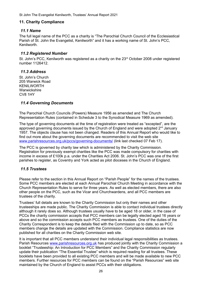#### **11. Charity Compliance**

#### *11.1 Name*

The full legal name of the PCC as a charity is "The Parochial Church Council of the Ecclesiastical Parish of St. John the Evangelist, Kenilworth" and it has a working name of St. John's PCC, Kenilworth.

#### *11.2 Registered Number*

St. John's PCC, Kenilworth was registered as a charity on the 23<sup>rd</sup> October 2008 under registered number 1126412.

#### *11.3 Address*

St. John's Church 205 Warwick Road KENILWORTH **Warwickshire** CV8 1HY

#### *11.4 Governing Documents*

The Parochial Church Councils (Powers) Measure 1956 as amended and The Church Representation Rules (contained in Schedule 3 to the Synodical Measure 1969 as amended).

The type of governing documents at the time of registration were treated as "excepted", are the approved governing documents issued by the Church of England and were adopted 2<sup>nd</sup> January 1957. The objects clause has not been changed. Readers of this Annual Report who would like to find out more about the governing documents are recommended to visit the web site www.parishresources.org.uk/pccs/governing-documents/ (link last checked 07 Feb 17).

The PCC is governed by charity law which is administered by the Charity Commission. Registration for previously exempt charities like the PCC was made compulsory for charities with income in excess of £100k p.a. under the Charities Act 2006. St. John's PCC was one of the first parishes to register, as Coventry and York acted as pilot dioceses in the Church of England.

#### *11.5 Trustees*

Please refer to the section in this Annual Report on "Parish People" for the names of the trustees. Some PCC members are elected at each Annual Parochial Church Meeting in accordance with the Church Representation Rules to serve for three years. As well as elected members, there are also other people on the PCC, such as the Vicar and Churchwardens, and all PCC members are trustees of the charity.

Trustees' full details are known to the Charity Commission but only their names and other trusteeships are made public. The Charity Commission is able to contact individual trustees directly although it rarely does so. Although trustees usually have to be aged 18 or older, in the case of PCCs the charity commission accepts that PCC members can be legally elected aged 16 years or above and so the commission accepts such PCC members as trustees. One of the duties of the Charity Correspondent is to keep the details filed with the Commission up to date, so as PCC members change the details are updated with the Commission. Compliance statistics are now published for all charities on the Charity Commission web site.

It is important that all PCC members understand their individual legal responsibilities as trustees. Parish Resources www.parishresources.org.uk has produced jointly with the Charity Commission a booklet "Trusteeship: An Introduction for PCC Members" and the Charity Commission regularly update their publication "The Essential Trustee" which is required reading for all trustees. These booklets have been provided to all existing PCC members and will be made available to new PCC members. Further resources for PCC members can be found on the "Parish Resources" web site maintained by the Church of England to assist PCCs with their obligations.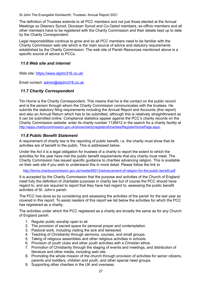The definition of Trustees extends to all PCC members and not just those elected at the Annual Meetings so Deanery Synod, Diocesan Synod and Co-Opted members, ex-officio members and all other members have to be registered with the Charity Commission and their details kept up to date by the Charity Correspondent.

Legal responsibilities continue to grow and so all PCC members need to be familiar with the Charity Commission web site which is the main source of advice and statutory requirements established by the Charity Commission. The web site of Parish Resources mentioned above is a specific source of advice to PCCs.

#### *11.6 Web site and internet*

Web site: https://www.stiohn316.co.uk/

Email contact: admin@stjohn316.co.uk

#### *11.7 Charity Correspondent*

Tim Horne is the Charity Correspondent. This means that he is the contact on the public record and is the person through whom the Charity Commission communicates with the trustees. He submits the statutory filing requirements including the Annual Report and Accounts (this report) and also an Annual Return which has to be submitted, although this is relatively straightforward as it can be submitted online. Compliance statistics appear against the PCC's charity records on the Charity Commission website: enter its charity number 1126412 in the search for a charity facility at http://apps.charitycommission.gov.uk/showcharity/registerofcharities/RegisterHomePage.aspx.

#### *11.8 Public Benefit Statement*

A requirement of charity law is the reporting of public benefit, i.e. the charity must show that its activities are of benefit to the public. This is addressed below.

Under the Act it is a legal obligation for trustees of a charity to report the extent to which the activities for the year have met the public benefit requirements that any charity must meet. The Charity Commission has issued specific guidance to charities advancing religion. This is available on their web site if you wish to understand this in more detail. Please follow the link to

http://forms.charitycommission.gov.uk/media/95013/advancement-of-religion-for-the-public-benefit.pdf

It is accepted by the Charity Commission that the purpose and activities of the Church of England meet fully the definition of charitable purposes in charity law but of course the PCC should have regard to, and are required to report that they have had regard to, assessing the public benefit activities of St. John's parish.

The PCC has done so by considering and assessing the activities of the parish for the last year as covered in this report. To assist readers of this report we list below the activities for which the PCC has registered as a charity.

The activities under which the PCC registered as a charity are broadly the same as for any Church of England parish:

- 1. Regular public worship open to all.
- 2. The provision of sacred space for personal prayer and contemplation.
- 3. Pastoral work, including visiting the sick and bereaved.
- 4. Teaching of Christianity through sermons, courses, and small groups.
- 5. Taking of religious assemblies and other religious activities in schools.
- 6. Provision of youth clubs and other youth activities with a Christian ethos.
- 7. Promotion of Christianity through the staging of events and meetings, and distribution of literature and other media, including web site.
- 8. Promoting the whole mission of the church through provision of activities for senior citizens, parents and toddlers, children and youth, and other special need groups.
- 9. Supporting other charities in the UK and overseas.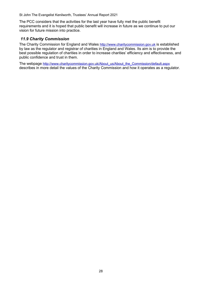The PCC considers that the activities for the last year have fully met the public benefit requirements and it is hoped that public benefit will increase in future as we continue to put our vision for future mission into practice.

#### *11.9 Charity Commission*

The Charity Commission for England and Wales http://www.charitycommission.gov.uk is established by law as the regulator and registrar of charities in England and Wales. Its aim is to provide the best possible regulation of charities in order to increase charities' efficiency and effectiveness, and public confidence and trust in them.

The webpage http://www.charitycommission.gov.uk/About\_us/About\_the\_Commission/default.aspx describes in more detail the values of the Charity Commission and how it operates as a regulator.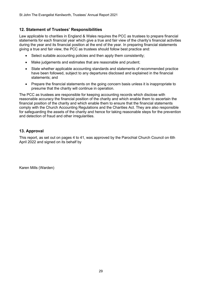#### **12. Statement of Trustees' Responsibilities**

Law applicable to charities in England & Wales requires the PCC as trustees to prepare financial statements for each financial year which give a true and fair view of the charity's financial activities during the year and its financial position at the end of the year. In preparing financial statements giving a true and fair view, the PCC as trustees should follow best practice and:

- Select suitable accounting policies and then apply them consistently;
- Make judgements and estimates that are reasonable and prudent;
- State whether applicable accounting standards and statements of recommended practice have been followed, subject to any departures disclosed and explained in the financial statements; and
- Prepare the financial statements on the going concern basis unless it is inappropriate to presume that the charity will continue in operation.

The PCC as trustees are responsible for keeping accounting records which disclose with reasonable accuracy the financial position of the charity and which enable them to ascertain the financial position of the charity and which enable them to ensure that the financial statements comply with the Church Accounting Regulations and the Charities Act. They are also responsible for safeguarding the assets of the charity and hence for taking reasonable steps for the prevention and detection of fraud and other irregularities.

#### **13. Approval**

This report, as set out on pages 4 to 41, was approved by the Parochial Church Council on 6th April 2022 and signed on its behalf by

Karen Mills (Warden)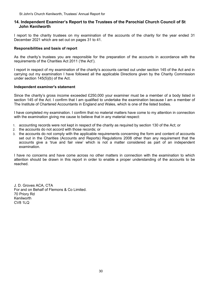#### **14. Independent Examiner's Report to the Trustees of the Parochial Church Council of St John Kenilworth**

I report to the charity trustees on my examination of the accounts of the charity for the year ended 31 December 2021 which are set out on pages 31 to 41.

#### **Responsibilities and basis of report**

As the charity's trustees you are responsible for the preparation of the accounts in accordance with the requirements of the Charities Act 2011 ('the Act').

I report in respect of my examination of the charity's accounts carried out under section 145 of the Act and in carrying out my examination I have followed all the applicable Directions given by the Charity Commission under section 145(5)(b) of the Act.

#### **Independent examiner's statement**

Since the charity's gross income exceeded £250,000 your examiner must be a member of a body listed in section 145 of the Act. I confirm that I am qualified to undertake the examination because I am a member of The Institute of Chartered Accountants in England and Wales, which is one of the listed bodies.

I have completed my examination. I confirm that no material matters have come to my attention in connection with the examination giving me cause to believe that in any material respect:

- 1. accounting records were not kept in respect of the charity as required by section 130 of the Act; or
- 2. the accounts do not accord with those records; or
- 3. the accounts do not comply with the applicable requirements concerning the form and content of accounts set out in the Charities (Accounts and Reports) Regulations 2008 other than any requirement that the accounts give a 'true and fair view' which is not a matter considered as part of an independent examination.

I have no concerns and have come across no other matters in connection with the examination to which attention should be drawn in this report in order to enable a proper understanding of the accounts to be reached.

J. D. Groves ACA, CTA For and on Behalf of Flemons & Co Limited. 70 Priory Rd Kenilworth CV8 1LQ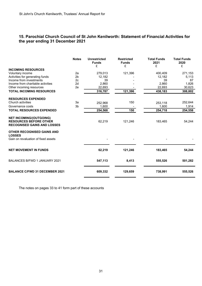#### **15. Parochial Church Council of St John Kenilworth: Statement of Financial Activities for the year ending 31 December 2021**

|                                                                                                       | <b>Notes</b>   | <b>Unrestricted</b><br><b>Funds</b><br>£ | <b>Restricted</b><br><b>Funds</b><br>£ | <b>Total Funds</b><br>2021<br>£ | <b>Total Funds</b><br>2020<br>£ |
|-------------------------------------------------------------------------------------------------------|----------------|------------------------------------------|----------------------------------------|---------------------------------|---------------------------------|
| <b>INCOMING RESOURCES</b>                                                                             |                |                                          |                                        |                                 |                                 |
| Voluntary income                                                                                      | 2a             | 279,013                                  | 121,396                                | 400,409                         | 271,153                         |
| Activities for generating funds                                                                       | 2 <sub>b</sub> | 12,182                                   |                                        | 12,182                          | 5,113                           |
| Income from investments                                                                               | 2c             | 39                                       |                                        | 39                              | 87                              |
| Income from charitable activities                                                                     | 2d             | 2,860                                    |                                        | 2,860                           | 1,826                           |
| Other incoming resources                                                                              | 2e             | 22,693                                   |                                        | 22,693                          | 30,623                          |
| <b>TOTAL INCOMING RESOURCES</b>                                                                       |                | 316,787                                  | 121,396                                | 438,183                         | 308,802                         |
| <b>RESOURCES EXPENDED</b>                                                                             |                |                                          |                                        |                                 |                                 |
| Church activities                                                                                     | За             | 252,968                                  | 150                                    | 253,118                         | 252,644                         |
| Governance costs                                                                                      | 3b             | 1,600                                    |                                        | 1,600                           | 1,914                           |
| <b>TOTAL RESOURCES EXPENDED</b>                                                                       |                | 254,568                                  | 150                                    | 254,718                         | 254,558                         |
| <b>NET INCOMING/(OUTGOING)</b><br><b>RESOURCES BEFORE OTHER</b><br><b>RECOGNISED GAINS AND LOSSES</b> |                | 62,219                                   | 121,246                                | 183,465                         | 54,244                          |
| OTHER RECOGNISED GAINS AND<br><b>LOSSES</b><br>Gain on revaluation of fixed assets                    |                |                                          |                                        |                                 |                                 |
| <b>NET MOVEMENT IN FUNDS</b>                                                                          |                | 62,219                                   | 121,246                                | 183,465                         | 54,244                          |
| <b>BALANCES B/FWD 1 JANUARY 2021</b>                                                                  |                | 547,113                                  | 8,413                                  | 555,526                         | 501,282                         |
| <b>BALANCE C/FWD 31 DECEMBER 2021</b>                                                                 |                | 609,332                                  | 129,659                                | 738,991                         | 555,526                         |

The notes on pages 33 to 41 form part of these accounts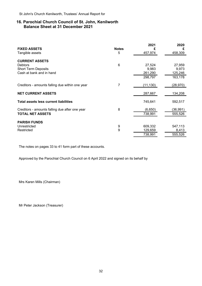#### **16. Parochial Church Council of St. John, Kenilworth Balance Sheet at 31 December 2021**

| <b>FIXED ASSETS</b>                             | <b>Notes</b> | 2021<br>£ | 2020<br>£ |
|-------------------------------------------------|--------------|-----------|-----------|
| Tangible assets                                 | 5            | 457,974   | 458,309   |
| <b>CURRENT ASSETS</b>                           |              |           |           |
| <b>Debtors</b>                                  | 6            | 27,524    | 27,959    |
| <b>Short Term Deposits</b>                      |              | 9,983     | 9,973     |
| Cash at bank and in hand                        |              | 261,290   | 125,246   |
|                                                 |              | 298,797   | 163,178   |
| Creditors - amounts falling due within one year | 7            | (11,130)  | (28, 970) |
| <b>NET CURRENT ASSETS</b>                       |              | 287,667   | 134,208   |
| <b>Total assets less current liabilities</b>    |              | 745,641   | 592,517   |
| Creditors - amounts falling due after one year  | 8            | (6,650)   | (36, 991) |
| <b>TOTAL NET ASSETS</b>                         |              | 738,991   | 555,526   |
| <b>PARISH FUNDS</b>                             |              |           |           |
| Unrestricted                                    | 9            | 609,332   | 547,113   |
| Restricted                                      | $9\,$        | 129,659   | 8,413     |
|                                                 |              | 738,991   | 555,526   |

The notes on pages 33 to 41 form part of these accounts.

Approved by the Parochial Church Council on 6 April 2022 and signed on its behalf by

Mrs Karen Mills (Chairman)

Mr Peter Jackson (Treasurer)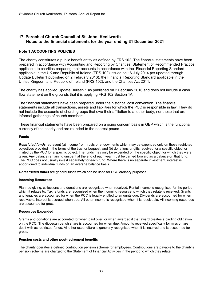#### **17. Parochial Church Council of St. John, Kenilworth Notes to the financial statements for the year ending 31 December 2021**

#### **Note 1 ACCOUNTING POLICIES**

The charity constitutes a public benefit entity as defined by FRS 102. The financial statements have been prepared in accordance with Accounting and Reporting by Charities: Statement of Recommended Practice applicable to charities preparing their accounts in accordance with the Financial Reporting Standard applicable in the UK and Republic of Ireland (FRS 102) issued on 16 July 2014 (as updated through Update Bulletin 1 published on 2 February 2016), the Financial Reporting Standard applicable in the United Kingdom and Republic of Ireland (FRS 102), and the Charities Act 2011.

The charity has applied Update Bulletin 1 as published on 2 February 2016 and does not include a cash flow statement on the grounds that it is applying FRS 102 Section 1A.

The financial statements have been prepared under the historical cost convention. The financial statements include all transactions, assets and liabilities for which the PCC is responsible in law. They do not include the accounts of church groups that owe their affiliation to another body, nor those that are informal gatherings of church members.

These financial statements have been prepared on a going concern basis in GBP which is the functional currency of the charity and are rounded to the nearest pound.

#### **Funds**

*Restricted funds* represent (a) income from trusts or endowments which may be expended only on those restricted objectives provided in the terms of the trust or bequest, and (b) donations or gifts received for a specific object or invited by the PCC for a specific object. The funds may only be expended on the specific object for which they were given. Any balance remaining unspent at the end of each year must be carried forward as a balance on that fund. The PCC does not usually invest separately for each fund. Where there is no separate investment, interest is apportioned to individual funds on an average balance basis.

*Unrestricted funds* are general funds which can be used for PCC ordinary purposes.

#### **Incoming Resources**

Planned giving, collections and donations are recognised when received. Rental income is recognised for the period which it relates to. Tax refunds are recognised when the incoming resource to which they relate is received. Grants and legacies are accounted for when the PCC is legally entitled to amounts due. Dividends are accounted for when receivable, interest is accrued when due. All other income is recognised when it is receivable. All incoming resources are accounted for gross.

#### **Resources Expended**

Grants and donations are accounted for when paid over, or when awarded if that award creates a binding obligation on the PCC. The diocesan parish share is accounted for when due. Amounts received specifically for mission are dealt with as restricted funds. All other expenditure is generally recognised when it is incurred and is accounted for gross.

#### **Pension costs and other post-retirement benefits**

The charity operates a defined contribution pension scheme for employees. Contributions are payable to the charity's pension scheme are charged to the Statement of Financial Activities in the period to which they relate.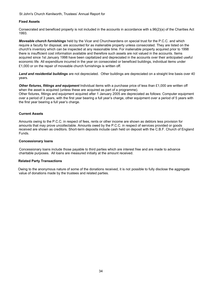St John's Church Kenilworth, Trustees' Annual Report for

#### **Fixed Assets**

Consecrated and beneficed property is not included in the accounts in accordance with s.96(2)(a) of the Charities Act 1993.

*Moveable church furnishings* held by the Vicar and Churchwardens on special trust for the P.C.C. and which require a faculty for disposal, are accounted for as inalienable property unless consecrated. They are listed on the church's inventory which can be inspected at any reasonable time. For inalienable property acquired prior to 1998 there is insufficient cost information available and therefore such assets are not valued in the accounts. Items acquired since 1st January 1998 have been capitalized and depreciated in the accounts over their anticipated useful economic life. All expenditure incurred in the year on consecrated or beneficed buildings, individual items under £1,000 or on the repair of moveable church furnishings is written off.

*Land and residential buildings* are not depreciated. Other buildings are depreciated on a straight line basis over 40 years.

*Other fixtures, fittings and equipment* Individual items with a purchase price of less than £1,000 are written off when the asset is acquired (unless these are acquired as part of a programme).

Other fixtures, fittings and equipment acquired after 1 January 2005 are depreciated as follows: Computer equipment over a period of 3 years, with the first year bearing a full year's charge, other equipment over a period of 5 years with the first year bearing a full year's charge.

#### **Current Assets**

Amounts owing to the P.C.C. in respect of fees, rents or other income are shown as debtors less provision for amounts that may prove uncollectable. Amounts owed by the P.C.C. in respect of services provided or goods received are shown as creditors. Short-term deposits include cash held on deposit with the C.B.F. Church of England Funds.

#### **Concessionary loans**

Concessionary loans include those payable to third parties which are interest free and are made to advance charitable purposes. All loans are measured initially at the amount received.

#### **Related Party Transactions**

Owing to the anonymous nature of some of the donations received, it is not possible to fully disclose the aggregate value of donations made by the trustees and related parties.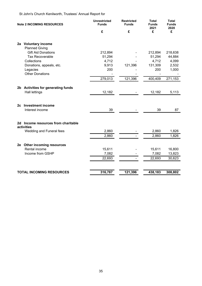St John's Church Kenilworth, Trustees' Annual Report for

| <b>Note 2 INCOMING RESOURCES</b> |                                                            | <b>Unrestricted</b><br><b>Funds</b> | <b>Restricted</b><br><b>Funds</b> | <b>Total</b><br><b>Funds</b><br>2021 | <b>Total</b><br><b>Funds</b><br>2020 |
|----------------------------------|------------------------------------------------------------|-------------------------------------|-----------------------------------|--------------------------------------|--------------------------------------|
|                                  |                                                            | £                                   | £                                 | £                                    | £                                    |
|                                  | 2a Voluntary income<br><b>Planned Giving</b>               |                                     |                                   |                                      |                                      |
|                                  | <b>Gift Aid Donations</b><br><b>Tax Recoverable</b>        | 212,894<br>51,294                   |                                   | 212,894<br>51,294                    | 218,638<br>44,884                    |
|                                  | Collections<br>Donations, appeals, etc.                    | 4,712<br>9,913                      | 121,396                           | 4,712<br>131,309                     | 4,099<br>2,532                       |
|                                  | Legacies<br><b>Other Donations</b>                         | 200                                 |                                   | 200                                  | 1,000                                |
|                                  |                                                            | 279,013                             | 121,396                           | 400,409                              | 271,153                              |
|                                  | 2b Activities for generating funds<br><b>Hall lettings</b> | 12,182                              |                                   | 12,182                               | 5,113                                |
|                                  | 2c Investment income<br>Interest income                    | 39                                  |                                   | 39                                   | 87                                   |
|                                  |                                                            |                                     |                                   |                                      |                                      |
|                                  | 2d Income resources from charitable<br>activities          |                                     |                                   |                                      |                                      |
|                                  | Wedding and Funeral fees                                   | 2,860<br>2,860                      |                                   | 2,860<br>2,860                       | 1,826<br>1,826                       |
|                                  | 2e Other incoming resources                                |                                     |                                   |                                      |                                      |
|                                  | Rental income<br>Income from GSHP                          | 15,611<br>7,082<br>22,693           |                                   | 15,611<br>7,082<br>22,693            | 16,800<br>13,823<br>30,623           |
|                                  | <b>TOTAL INCOMING RESOURCES</b>                            | 316,787                             | 121,396                           | 438,183                              | 308,802                              |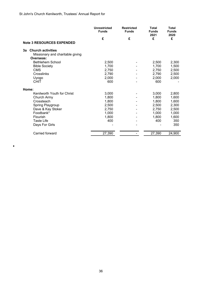$\bullet$ 

|                                                                                 | <b>Unrestricted</b><br><b>Funds</b> | <b>Restricted</b><br><b>Funds</b> | <b>Total</b><br><b>Funds</b><br>2021 | <b>Total</b><br><b>Funds</b><br>2020 |
|---------------------------------------------------------------------------------|-------------------------------------|-----------------------------------|--------------------------------------|--------------------------------------|
|                                                                                 | £                                   | £                                 | £                                    | £                                    |
| <b>Note 3 RESOURCES EXPENDED</b>                                                |                                     |                                   |                                      |                                      |
| <b>Church activities</b><br>За<br>Missionary and charitable giving<br>Overseas: |                                     |                                   |                                      |                                      |
| <b>Bethlehem School</b>                                                         | 2,500                               |                                   | 2,500                                | 2,300                                |
| <b>Bible Society</b>                                                            | 1,700                               |                                   | 1,700                                | 1,500                                |
| <b>CMS</b>                                                                      | 2,750                               |                                   | 2,750                                | 2,500                                |
| Crosslinks                                                                      | 2,790                               |                                   | 2,790                                | 2,500                                |
| Uyogo                                                                           | 2,000                               |                                   | 2,000                                | 2,000                                |
| <b>CHIT</b>                                                                     | 600                                 |                                   | 600                                  |                                      |
| Home:                                                                           |                                     |                                   |                                      |                                      |
| Kenilworth Youth for Christ                                                     | 3,000                               |                                   | 3,000                                | 2,800                                |
| Church Army                                                                     | 1,800                               |                                   | 1,800                                | 1,600                                |
| Crossteach                                                                      | 1,800                               |                                   | 1,800                                | 1,600                                |
| Spring Playgroup                                                                | 2,500                               |                                   | 2,500                                | 2,300                                |
| Dave & Kay Stoker                                                               | 2,750                               |                                   | 2,750                                | 2,500                                |
| Foodbank*                                                                       | 1,000                               |                                   | 1,000                                | 1,000                                |
| Flourish                                                                        | 1,800                               |                                   | 1,800                                | 1,600                                |
| <b>Taste Life</b>                                                               | 400                                 |                                   | 400                                  | 350                                  |
| Days For Girls                                                                  |                                     |                                   |                                      | 350                                  |
| Carried forward                                                                 | 27,390                              |                                   | 27,390                               | 24,900                               |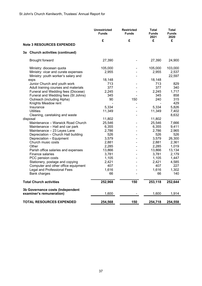|                                                                    | <b>Unrestricted</b><br><b>Funds</b> | <b>Restricted</b><br><b>Funds</b> | <b>Total</b><br><b>Funds</b><br>2021 | <b>Total</b><br><b>Funds</b><br>2020 |
|--------------------------------------------------------------------|-------------------------------------|-----------------------------------|--------------------------------------|--------------------------------------|
|                                                                    | £                                   | £                                 | £                                    | £                                    |
| <b>Note 3 RESOURCES EXPENDED</b>                                   |                                     |                                   |                                      |                                      |
| 3a Church activities (continued)                                   |                                     |                                   |                                      |                                      |
| Brought forward                                                    | 27,390                              |                                   | 27,390                               | 24,900                               |
| Ministry: diocesan quota                                           | 105,000                             |                                   | 105,000                              | 103,000                              |
| Ministry: vicar and curate expenses                                | 2,955                               |                                   | 2,955                                | 2,537                                |
| Ministry: youth worker's salary and                                |                                     |                                   |                                      | 22,597                               |
| exps                                                               | 18,148                              |                                   | 18,148                               |                                      |
| Junior Church and youth work                                       | 713                                 |                                   | 713                                  | 829                                  |
| Adult training courses and materials                               | 377                                 |                                   | 377                                  | 340                                  |
| Funeral and Wedding fees (Diocese)                                 | 2,245                               |                                   | 2,245                                | 1,717                                |
| Funeral and Wedding fees (St Johns)                                | 345                                 |                                   | 345                                  | 858                                  |
| Outreach (including Alpha)                                         | 90                                  | 150                               | 240                                  | 315                                  |
| Knights Meadow rent                                                |                                     |                                   |                                      | 429                                  |
| Insurance                                                          | 5,334                               |                                   | 5,334                                | 5,826                                |
| <b>Utilities</b>                                                   | 11,349                              |                                   | 11,349                               | 7,402                                |
| Cleaning, caretaking and waste                                     |                                     |                                   |                                      | 8,632                                |
| disposal<br>Maintenance - Warwick Road Church                      | 11,802                              |                                   | 11,802<br>25,546                     |                                      |
|                                                                    | 25,546                              |                                   |                                      | 7,666                                |
| Maintenance - Hall and car park                                    | 6,355<br>2,786                      |                                   | 6,355<br>2,786                       | 9,411<br>2,965                       |
| Maintenance - 23 Leyes Lane<br>Depreciation - Church Hall building | 526                                 |                                   | 526                                  | 526                                  |
| Depreciation - Equipment                                           | 3,579                               |                                   | 3,579                                | 26,300                               |
| Church music costs                                                 | 2,881                               |                                   | 2,881                                | 2,361                                |
| Other                                                              | 2,285                               |                                   | 2,285                                | 1,019                                |
| Parish office salaries and expenses                                | 13,866                              |                                   | 13,866                               | 13,134                               |
| <b>Finance salaries</b>                                            | 3,781                               |                                   | 3,781                                | 2,179                                |
| PCC pension costs                                                  | 1,105                               |                                   | 1,105                                | 1,447                                |
| Stationery, postage and copying                                    | 2,421                               |                                   | 2,421                                | 4,585                                |
| Computer and other office equipment                                | 407                                 |                                   | 407                                  | 227                                  |
| Legal and Professional Fees                                        | 1,616                               |                                   | 1,616                                | 1,302                                |
| <b>Bank charges</b>                                                | 66                                  |                                   | 66                                   | 140                                  |
| <b>Total Church activities</b>                                     | 252,968                             | 150                               | 253,118                              | 252,644                              |
| 3b Governance costs (Independent                                   |                                     |                                   |                                      |                                      |
| examiner's remuneration)                                           | 1,600                               |                                   | 1,600                                | 1,914                                |
| <b>TOTAL RESOURCES EXPENDED</b>                                    | 254,568                             | 150                               | 254,718                              | 254,558                              |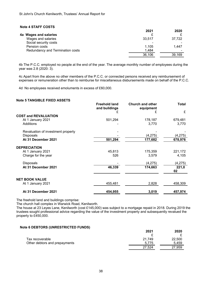#### **Note 4 STAFF COSTS**

|                                  | 2021   | 2020                     |
|----------------------------------|--------|--------------------------|
| 4a Wages and salaries            |        |                          |
| Wages and salaries               | 33,517 | 37,722                   |
| Social security costs            | ۰      |                          |
| Pension costs                    | 1.105  | 1.447                    |
| Redundancy and Termination costs | 1,484  | $\overline{\phantom{a}}$ |
|                                  | 36,106 | 39,169                   |

4b The P.C.C. employed no people at the end of the year. The average monthly number of employees during the year was 2.8 (2020: 3).

4c Apart from the above no other members of the P.C.C. or connected persons received any reimbursement of expenses or remuneration other than to reimburse for miscellaneous disbursements made on behalf of the P.C.C.

4d No employees received emoluments in excess of £60,000.

#### **Note 5 TANGIBLE FIXED ASSETS**

|                                    | <b>Freehold land</b><br>and buildings | <b>Church and other</b><br>equipment | <b>Total</b> |
|------------------------------------|---------------------------------------|--------------------------------------|--------------|
|                                    | £                                     | £                                    | £            |
| <b>COST and REVALUATION</b>        |                                       |                                      |              |
| At 1 January 2021                  | 501,294                               | 178,187                              | 679,481      |
| Additions                          |                                       | 3,770                                | 3,770        |
| Revaluation of investment property |                                       |                                      |              |
| <b>Disposals</b>                   |                                       | (4,275)                              | (4, 275)     |
| At 31 December 2021                | 501,294                               | 177,682                              | 678,976      |
| <b>DEPRECIATION</b>                |                                       |                                      |              |
| At 1 January 2021                  | 45,813                                | 175,359                              | 221,172      |
| Charge for the year                | 526                                   | 3,579                                | 4,105        |
| <b>Disposals</b>                   |                                       | (4,275)                              | (4, 275)     |
| At 31 December 2021                | 46,339                                | 174,663                              | 221,0<br>02  |
| <b>NET BOOK VALUE</b>              |                                       |                                      |              |
| At 1 January 2021                  | 455,481                               | 2,828                                | 458,309      |
| At 31 December 2021                | 454,955                               | 3,019                                | 457,974      |

The freehold land and buildings comprise:

The church hall complex in Warwick Road, Kenilworth.

The house at 23 Leyes Lane, Kenilworth (cost £145,000) was subject to a mortgage repaid in 2018. During 2019 the trustees sought professional advice regarding the value of the investment property and subsequently revalued the property to £450,000.

#### **Note 6 DEBTORS (UNRESTRICTED FUNDS)**

|                               | 2021   | 2020   |
|-------------------------------|--------|--------|
|                               |        |        |
| Tax recoverable               | 21.749 | 22,500 |
| Other debtors and prepayments | 5.775  | 5.459  |
|                               | 27.524 | 27,959 |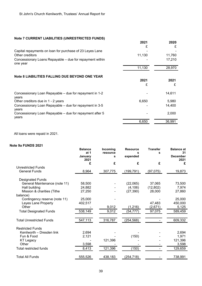#### **Note 7 CURRENT LIABILITIES (UNRESTRICTED FUNDS)**

|                                                                      | 2021   | 2020   |
|----------------------------------------------------------------------|--------|--------|
|                                                                      | £      | £      |
| Capital repayments on loan for purchase of 23 Leyes Lane             |        |        |
| Other creditors                                                      | 11,130 | 11,760 |
| Concessionary Loans Repayable – due for repayment within<br>one year |        | 17,210 |
|                                                                      | 11,130 | 28,970 |
| Note 8 LIABILITIES FALLING DUE BEYOND ONE YEAR                       |        |        |
|                                                                      | 2021   | 2021   |
|                                                                      | £      | £      |
| Concessionary Loan Repayable – due for repayment in 1-2<br>years     |        | 14,611 |
| Other creditors due in 1 - 2 years                                   | 6,650  | 5,980  |
| Concessionary Loan Repayable - due for repayment in 3-5<br>years     |        | 14,400 |
| Concessionary Loan Repayable – due for repayment after 5<br>years    |        | 2,000  |
|                                                                      | 6,650  | 36,991 |

All loans were repaid in 2021.

#### **Note 9a FUNDS 2021**

| ισ σα ι υπυσ ΖυΖ ι              | <b>Balance</b><br>at 1<br>January<br>2021 | Incoming<br>resource<br>s | <b>Resource</b><br>s<br>expended | <b>Transfer</b><br>s | <b>Balance at</b><br>31<br><b>December</b><br>2021 |
|---------------------------------|-------------------------------------------|---------------------------|----------------------------------|----------------------|----------------------------------------------------|
|                                 | £                                         | £                         | £                                | £                    | £                                                  |
| <b>Unrestricted Funds</b>       |                                           |                           |                                  |                      |                                                    |
| <b>General Funds</b>            | 8,964                                     | 307,775                   | (199, 791)                       | (97, 075)            | 19,873                                             |
| <b>Designated Funds</b>         |                                           |                           |                                  |                      |                                                    |
| General Maintenance (note 11)   | 58,500                                    |                           | (22,065)                         | 37,065               | 73,500                                             |
| Hall building                   | 24,882                                    |                           | (4, 106)                         | (12, 802)            | 7,974                                              |
| Mission & charities (Tithe      | 27,250                                    |                           | (27, 390)                        | 28,000               | 27,860                                             |
| balance)                        |                                           |                           |                                  |                      |                                                    |
| Contingency reserve (note 11)   | 25,000                                    |                           |                                  |                      | 25,000                                             |
| Leyes Lane Property             | 402,517                                   |                           |                                  | 47,483               | 450,000                                            |
| Other                           |                                           | 9,012                     | (1,216)                          | (2,671)              | 5,125                                              |
| <b>Total Designated Funds</b>   | 538,149                                   | 9,012                     | (54, 777)                        | 97,075               | 589,459                                            |
| <b>Total Unrestricted Funds</b> | 547,113                                   | 316,787                   | (254, 568)                       |                      | 609,332                                            |
| <b>Restricted Funds</b>         |                                           |                           |                                  |                      |                                                    |
| Kenilworth - Dresden link       | 2,694                                     |                           |                                  |                      | 2,694                                              |
| Fun & Food                      | 2,121                                     |                           | (150)                            |                      | 1,971                                              |
| <b>KT Legacy</b>                |                                           | 121,396                   |                                  |                      | 121,396                                            |
| Other                           | 3,598                                     |                           |                                  |                      | 3,598                                              |
| <b>Total restricted funds</b>   | 8,413                                     | 121,396                   | (150)                            |                      | 129,659                                            |
| <b>Total All Funds</b>          | 555,526                                   | 438,183                   | (254,718)                        |                      | 738,991                                            |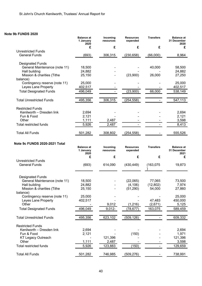### **Note 9b FUNDS 2020**

|                                                   | <b>Balance</b> at<br>1 January<br>2020 | Incoming<br>resources | <b>Resources</b><br>expended | <b>Transfers</b> | <b>Balance at</b><br>31 December<br>2020 |
|---------------------------------------------------|----------------------------------------|-----------------------|------------------------------|------------------|------------------------------------------|
|                                                   | £                                      | £                     | £                            | £                | £                                        |
| <b>Unrestricted Funds</b>                         |                                        |                       |                              |                  |                                          |
| <b>General Funds</b>                              | (693)                                  | 306,315               | (230, 658)                   | (66,000)         | 8,964                                    |
| <b>Designated Funds</b>                           |                                        |                       |                              |                  |                                          |
| General Maintenance (note 11)                     | 18,500                                 |                       |                              | 40,000           | 58,500                                   |
| Hall building                                     | 24,882                                 |                       |                              |                  | 24,882                                   |
| Mission & charities (Tithe<br>balance)            | 25,150                                 |                       | (23,900)                     | 26,000           | 27,250                                   |
| Contingency reserve (note 11)                     | 25,000                                 |                       |                              |                  | 25,000                                   |
| Leyes Lane Property                               | 402,517                                |                       |                              |                  | 402,517                                  |
| <b>Total Designated Funds</b>                     | 496,049                                |                       | (23,900)                     | 66,000           | 538,149                                  |
| <b>Total Unrestricted Funds</b>                   | 495,356                                | 306,315               | (254, 558)                   |                  | 547,113                                  |
| <b>Restricted Funds</b>                           |                                        |                       |                              |                  |                                          |
| Kenilworth - Dresden link                         | 2,694                                  |                       |                              |                  | 2,694                                    |
| Fun & Food                                        | 2,121                                  |                       |                              |                  | 2,121                                    |
| Other                                             | 1,111                                  | 2,487                 |                              |                  | 3,598                                    |
| <b>Total restricted funds</b>                     | 5,926                                  | 2,487                 |                              |                  | 8,413                                    |
| <b>Total All Funds</b>                            | 501,282                                | 308,802               | (254, 558)                   |                  | 555,526                                  |
|                                                   |                                        |                       |                              |                  |                                          |
| <b>Note 9c FUNDS 2020-2021 Total</b>              | <b>Balance at</b><br>1 January<br>2020 | Incoming<br>resources | <b>Resources</b><br>expended | <b>Transfers</b> | <b>Balance at</b><br>31 December<br>2021 |
|                                                   | £                                      | £                     | £                            | £                | £                                        |
| <b>Unrestricted Funds</b><br><b>General Funds</b> | (693)                                  | 614,090               | (430, 449)                   | (163, 075)       | 19,873                                   |
|                                                   |                                        |                       |                              |                  |                                          |
| <b>Designated Funds</b>                           |                                        |                       |                              |                  |                                          |
| General Maintenance (note 11)                     | 18,500                                 |                       | (22,065)                     | 77,065           | 73,500                                   |
| Hall building                                     | 24,882                                 |                       | (4, 106)                     | (12,802)         | 7,974                                    |
| Mission & charities (Tithe                        | 25,150                                 |                       | (51,290)                     | 54,000           | 27,860                                   |
| balance)<br>Contingency reserve (note 11)         | 25,000                                 |                       |                              |                  | 25,000                                   |
| Leyes Lane Property                               | 402,517                                |                       |                              | 47,483           | 450,000                                  |
| Other                                             |                                        | 9,012                 | (1, 216)                     | (2,671)          | 5,125                                    |
| <b>Total Designated Funds</b>                     | 496,049                                | $9,012-$              | (78, 677)                    | 163,075          | 589,459                                  |
|                                                   |                                        |                       |                              |                  |                                          |
| <b>Total Unrestricted Funds</b>                   | 495,356                                | 623,102               | (509, 126)                   |                  | 609,332                                  |
| <b>Restricted Funds</b>                           |                                        |                       |                              |                  |                                          |
| Kenilworth - Dresden link                         | 2,694                                  |                       |                              |                  | 2,694                                    |
| Fun & Food                                        | 2,121                                  |                       | (150)                        |                  | 1,971                                    |
| <b>KT Legacy Outreach</b>                         |                                        | 121,396               |                              |                  | 121,396                                  |
| Other                                             | 1,111                                  | 2,487                 |                              |                  | 3,598                                    |
| <b>Total restricted funds</b>                     | 5,926                                  | 123,883               | (150)                        |                  | 129,659                                  |
| <b>Total All Funds</b>                            | 501,282                                | 746,985               | (509, 276)                   |                  | 738,991                                  |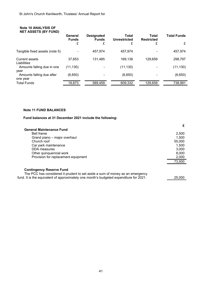| <b>Note 10 ANALYSIS OF</b><br><b>NET ASSETS (BY FUND)</b> |                         |                                   |                              |                            |                    |
|-----------------------------------------------------------|-------------------------|-----------------------------------|------------------------------|----------------------------|--------------------|
|                                                           | General<br><b>Funds</b> | <b>Designated</b><br><b>Funds</b> | Total<br><b>Unrestricted</b> | Total<br><b>Restricted</b> | <b>Total Funds</b> |
|                                                           | £                       | £                                 | £                            | £                          | £                  |
| Tangible fixed assets (note 5)                            |                         | 457,974                           | 457,974                      |                            | 457,974            |
| <b>Current assets</b><br>Liabilities                      | 37.653                  | 131,485                           | 169,138                      | 129.659                    | 298,797            |
| Amounts falling due in one<br>year                        | (11, 130)               |                                   | (11, 130)                    |                            | (11, 130)          |
| Amounts falling due after<br>one year                     | (6,650)                 | ۰                                 | (6,650)                      |                            | (6,650)            |
| <b>Total Funds</b>                                        | 19,873                  | 589,459                           | 609,332                      | 129,659                    | 738,991            |

#### **Note 11 FUND BALANCES**

#### **Fund balances at 31 December 2021 include the following:**

| 2.500  |
|--------|
| 1.500  |
| 55,000 |
| 1.500  |
| 3,000  |
| 8,000  |
| 2,000  |
| 73,500 |
| 25,000 |
|        |